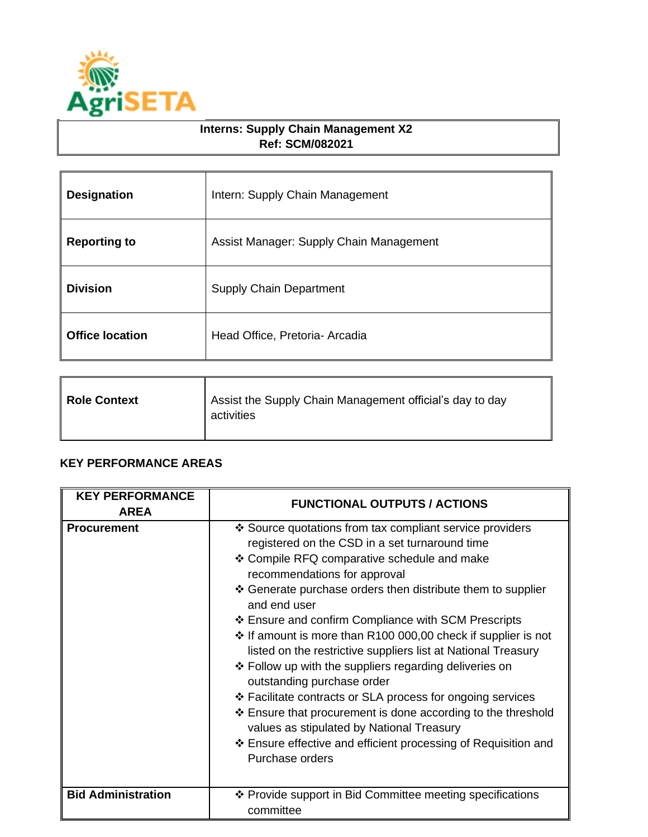

## **Interns: Supply Chain Management X2 Ref: SCM/082021**

| <b>Designation</b>     | Intern: Supply Chain Management         |
|------------------------|-----------------------------------------|
| <b>Reporting to</b>    | Assist Manager: Supply Chain Management |
| <b>Division</b>        | <b>Supply Chain Department</b>          |
| <b>Office location</b> | Head Office, Pretoria- Arcadia          |

| <b>Role Context</b> | Assist the Supply Chain Management official's day to day<br>activities |
|---------------------|------------------------------------------------------------------------|
|                     |                                                                        |

## **KEY PERFORMANCE AREAS**

| <b>KEY PERFORMANCE</b><br><b>AREA</b> | <b>FUNCTIONAL OUTPUTS / ACTIONS</b>                                                                                                                                                                                                                                                                                                                                                                                                                                                                                                                                                                                                                                                                                                                                                                                       |
|---------------------------------------|---------------------------------------------------------------------------------------------------------------------------------------------------------------------------------------------------------------------------------------------------------------------------------------------------------------------------------------------------------------------------------------------------------------------------------------------------------------------------------------------------------------------------------------------------------------------------------------------------------------------------------------------------------------------------------------------------------------------------------------------------------------------------------------------------------------------------|
| <b>Procurement</b>                    | ❖ Source quotations from tax compliant service providers<br>registered on the CSD in a set turnaround time<br>❖ Compile RFQ comparative schedule and make<br>recommendations for approval<br>❖ Generate purchase orders then distribute them to supplier<br>and end user<br>❖ Ensure and confirm Compliance with SCM Prescripts<br>❖ If amount is more than R100 000,00 check if supplier is not<br>listed on the restrictive suppliers list at National Treasury<br>❖ Follow up with the suppliers regarding deliveries on<br>outstanding purchase order<br>❖ Facilitate contracts or SLA process for ongoing services<br>❖ Ensure that procurement is done according to the threshold<br>values as stipulated by National Treasury<br>❖ Ensure effective and efficient processing of Requisition and<br>Purchase orders |
| <b>Bid Administration</b>             | ❖ Provide support in Bid Committee meeting specifications<br>committee                                                                                                                                                                                                                                                                                                                                                                                                                                                                                                                                                                                                                                                                                                                                                    |